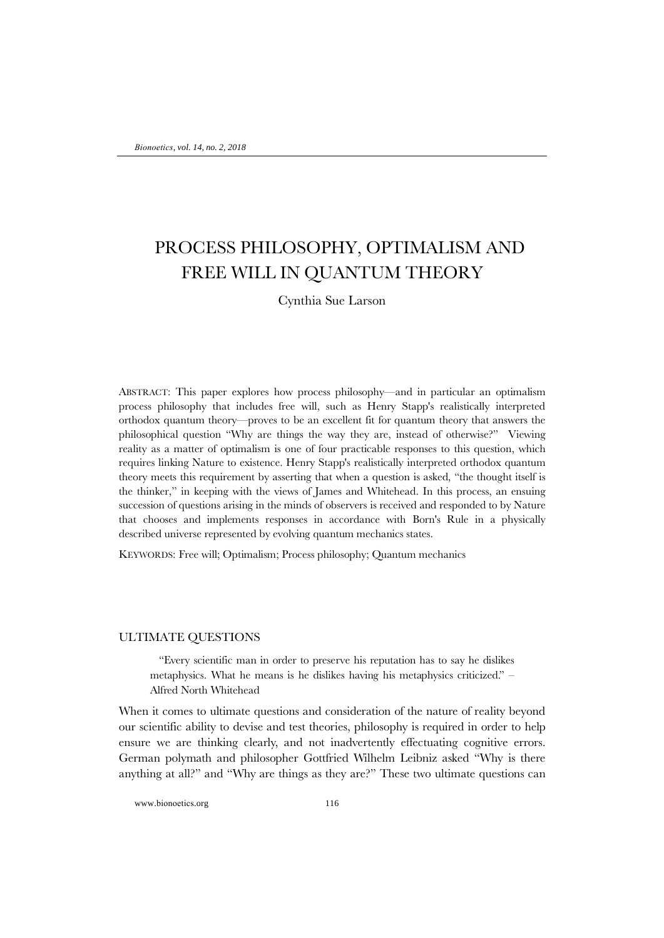# PROCESS PHILOSOPHY, OPTIMALISM AND FREE WILL IN QUANTUM THEORY

Cynthia Sue Larson

ABSTRACT: This paper explores how process philosophy—and in particular an optimalism process philosophy that includes free will, such as Henry Stapp's realistically interpreted orthodox quantum theory—proves to be an excellent fit for quantum theory that answers the philosophical question "Why are things the way they are, instead of otherwise?" Viewing reality as a matter of optimalism is one of four practicable responses to this question, which requires linking Nature to existence. Henry Stapp's realistically interpreted orthodox quantum theory meets this requirement by asserting that when a question is asked, "the thought itself is the thinker," in keeping with the views of James and Whitehead. In this process, an ensuing succession of questions arising in the minds of observers is received and responded to by Nature that chooses and implements responses in accordance with Born's Rule in a physically described universe represented by evolving quantum mechanics states.

KEYWORDS: Free will; Optimalism; Process philosophy; Quantum mechanics

#### ULTIMATE QUESTIONS

"Every scientific man in order to preserve his reputation has to say he dislikes metaphysics. What he means is he dislikes having his metaphysics criticized." – Alfred North Whitehead

When it comes to ultimate questions and consideration of the nature of reality beyond our scientific ability to devise and test theories, philosophy is required in order to help ensure we are thinking clearly, and not inadvertently effectuating cognitive errors. German polymath and philosopher Gottfried Wilhelm Leibniz asked "Why is there anything at all?" and "Why are things as they are?" These two ultimate questions can

www.bionoetics.org 116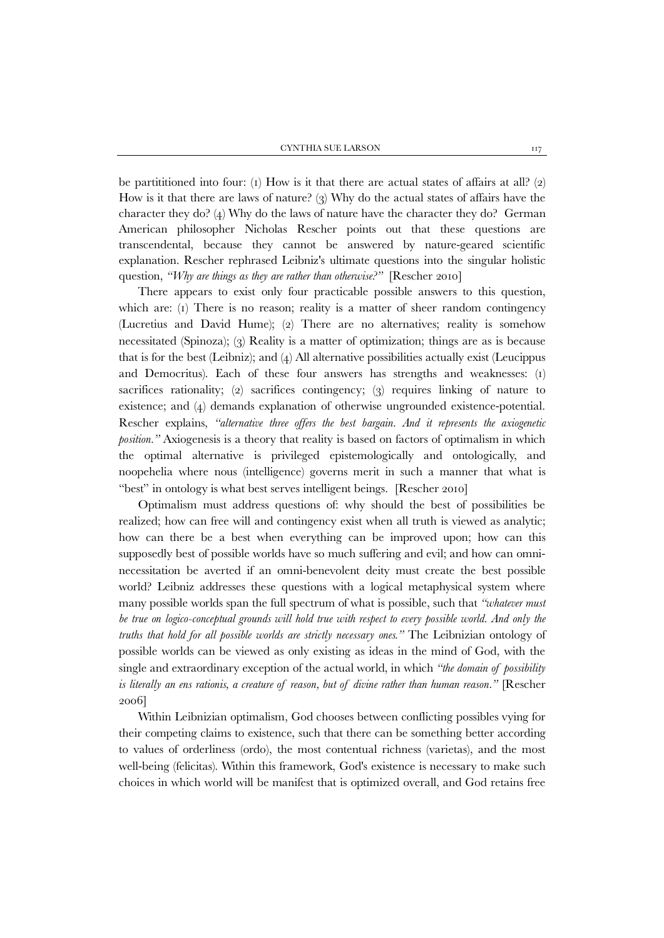be partititioned into four: (1) How is it that there are actual states of affairs at all? (2) How is it that there are laws of nature? (3) Why do the actual states of affairs have the character they do? (4) Why do the laws of nature have the character they do? German American philosopher Nicholas Rescher points out that these questions are transcendental, because they cannot be answered by nature-geared scientific explanation. Rescher rephrased Leibniz's ultimate questions into the singular holistic question, *"Why are things as they are rather than otherwise?"* [Rescher 2010]

There appears to exist only four practicable possible answers to this question, which are: (1) There is no reason; reality is a matter of sheer random contingency (Lucretius and David Hume); (2) There are no alternatives; reality is somehow necessitated (Spinoza); (3) Reality is a matter of optimization; things are as is because that is for the best (Leibniz); and (4) All alternative possibilities actually exist (Leucippus and Democritus). Each of these four answers has strengths and weaknesses: (1) sacrifices rationality; (2) sacrifices contingency; (3) requires linking of nature to existence; and (4) demands explanation of otherwise ungrounded existence-potential. Rescher explains, *"alternative three offers the best bargain. And it represents the axiogenetic position."* Axiogenesis is a theory that reality is based on factors of optimalism in which the optimal alternative is privileged epistemologically and ontologically, and noopehelia where nous (intelligence) governs merit in such a manner that what is "best" in ontology is what best serves intelligent beings. [Rescher 2010]

Optimalism must address questions of: why should the best of possibilities be realized; how can free will and contingency exist when all truth is viewed as analytic; how can there be a best when everything can be improved upon; how can this supposedly best of possible worlds have so much suffering and evil; and how can omninecessitation be averted if an omni-benevolent deity must create the best possible world? Leibniz addresses these questions with a logical metaphysical system where many possible worlds span the full spectrum of what is possible, such that *"whatever must be true on logico-conceptual grounds will hold true with respect to every possible world. And only the truths that hold for all possible worlds are strictly necessary ones."* The Leibnizian ontology of possible worlds can be viewed as only existing as ideas in the mind of God, with the single and extraordinary exception of the actual world, in which *"the domain of possibility is literally an ens rationis, a creature of reason, but of divine rather than human reason."* [Rescher 2006]

Within Leibnizian optimalism, God chooses between conflicting possibles vying for their competing claims to existence, such that there can be something better according to values of orderliness (ordo), the most contentual richness (varietas), and the most well-being (felicitas). Within this framework, God's existence is necessary to make such choices in which world will be manifest that is optimized overall, and God retains free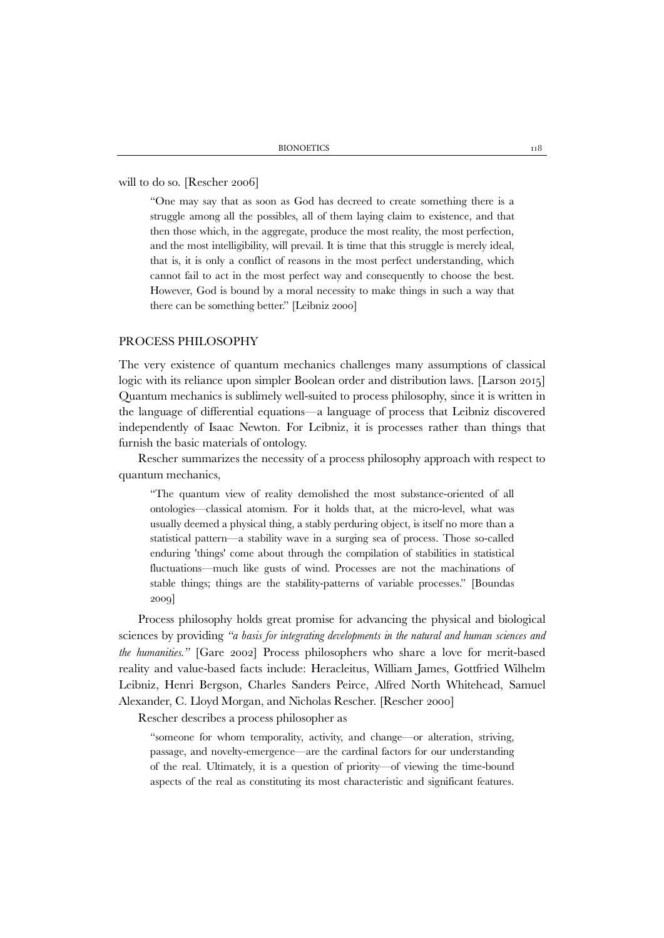will to do so. [Rescher 2006]

"One may say that as soon as God has decreed to create something there is a struggle among all the possibles, all of them laying claim to existence, and that then those which, in the aggregate, produce the most reality, the most perfection, and the most intelligibility, will prevail. It is time that this struggle is merely ideal, that is, it is only a conflict of reasons in the most perfect understanding, which cannot fail to act in the most perfect way and consequently to choose the best. However, God is bound by a moral necessity to make things in such a way that there can be something better." [Leibniz 2000]

#### PROCESS PHILOSOPHY

The very existence of quantum mechanics challenges many assumptions of classical logic with its reliance upon simpler Boolean order and distribution laws. [Larson 2015] Quantum mechanics is sublimely well-suited to process philosophy, since it is written in the language of differential equations—a language of process that Leibniz discovered independently of Isaac Newton. For Leibniz, it is processes rather than things that furnish the basic materials of ontology.

Rescher summarizes the necessity of a process philosophy approach with respect to quantum mechanics,

"The quantum view of reality demolished the most substance-oriented of all ontologies—classical atomism. For it holds that, at the micro-level, what was usually deemed a physical thing, a stably perduring object, is itself no more than a statistical pattern—a stability wave in a surging sea of process. Those so-called enduring 'things' come about through the compilation of stabilities in statistical fluctuations—much like gusts of wind. Processes are not the machinations of stable things; things are the stability-patterns of variable processes." [Boundas 2009]

Process philosophy holds great promise for advancing the physical and biological sciences by providing *"a basis for integrating developments in the natural and human sciences and the humanities."* [Gare 2002] Process philosophers who share a love for merit-based reality and value-based facts include: Heracleitus, William James, Gottfried Wilhelm Leibniz, Henri Bergson, Charles Sanders Peirce, Alfred North Whitehead, Samuel Alexander, C. Lloyd Morgan, and Nicholas Rescher. [Rescher 2000]

Rescher describes a process philosopher as

"someone for whom temporality, activity, and change—or alteration, striving, passage, and novelty-emergence—are the cardinal factors for our understanding of the real. Ultimately, it is a question of priority—of viewing the time-bound aspects of the real as constituting its most characteristic and significant features.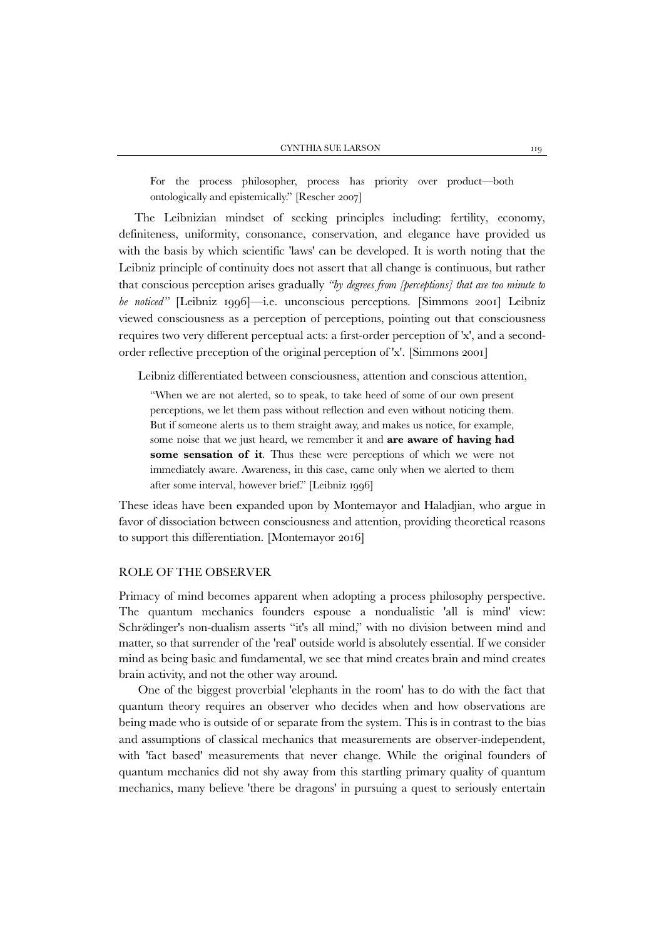For the process philosopher, process has priority over product—both ontologically and epistemically." [Rescher 2007]

The Leibnizian mindset of seeking principles including: fertility, economy, definiteness, uniformity, consonance, conservation, and elegance have provided us with the basis by which scientific 'laws' can be developed. It is worth noting that the Leibniz principle of continuity does not assert that all change is continuous, but rather that conscious perception arises gradually *"by degrees from [perceptions] that are too minute to be noticed"* [Leibniz 1996]—i.e. unconscious perceptions. [Simmons 2001] Leibniz viewed consciousness as a perception of perceptions, pointing out that consciousness requires two very different perceptual acts: a first-order perception of 'x', and a secondorder reflective preception of the original perception of 'x'. [Simmons 2001]

Leibniz differentiated between consciousness, attention and conscious attention,

"When we are not alerted, so to speak, to take heed of some of our own present perceptions, we let them pass without reflection and even without noticing them. But if someone alerts us to them straight away, and makes us notice, for example, some noise that we just heard, we remember it and **are aware of having had some sensation of it**. Thus these were perceptions of which we were not immediately aware. Awareness, in this case, came only when we alerted to them after some interval, however brief." [Leibniz 1996]

These ideas have been expanded upon by Montemayor and Haladjian, who argue in favor of dissociation between consciousness and attention, providing theoretical reasons to support this differentiation. [Montemayor 2016]

#### ROLE OF THE OBSERVER

Primacy of mind becomes apparent when adopting a process philosophy perspective. The quantum mechanics founders espouse a nondualistic 'all is mind' view: Schr*ö*dinger's non-dualism asserts "it's all mind," with no division between mind and matter, so that surrender of the 'real' outside world is absolutely essential. If we consider mind as being basic and fundamental, we see that mind creates brain and mind creates brain activity, and not the other way around.

One of the biggest proverbial 'elephants in the room' has to do with the fact that quantum theory requires an observer who decides when and how observations are being made who is outside of or separate from the system. This is in contrast to the bias and assumptions of classical mechanics that measurements are observer-independent, with 'fact based' measurements that never change. While the original founders of quantum mechanics did not shy away from this startling primary quality of quantum mechanics, many believe 'there be dragons' in pursuing a quest to seriously entertain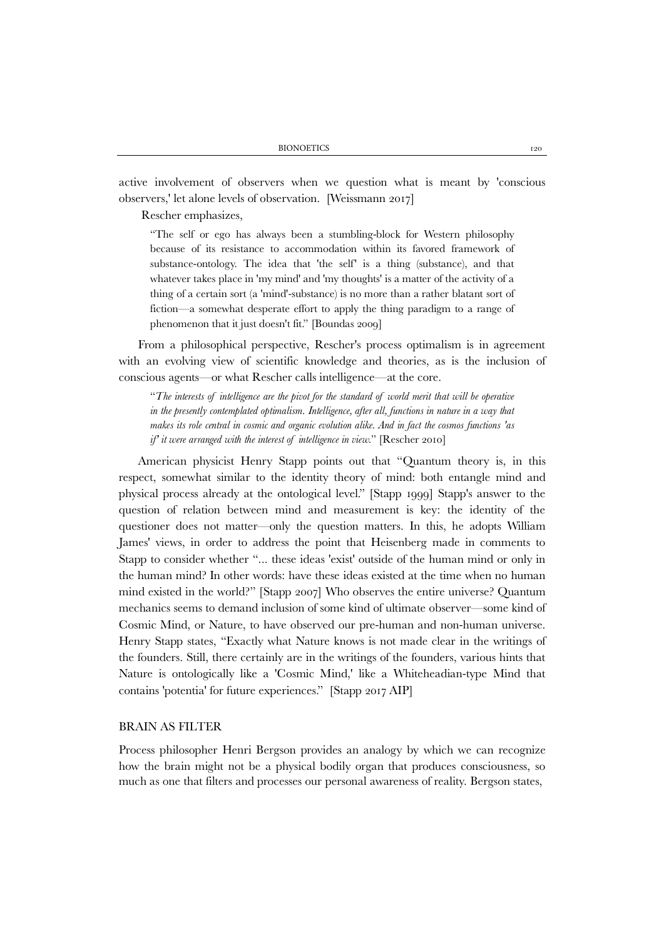active involvement of observers when we question what is meant by 'conscious observers,' let alone levels of observation. [Weissmann 2017]

Rescher emphasizes,

"The self or ego has always been a stumbling-block for Western philosophy because of its resistance to accommodation within its favored framework of substance-ontology. The idea that 'the self' is a thing (substance), and that whatever takes place in 'my mind' and 'my thoughts' is a matter of the activity of a thing of a certain sort (a 'mind'-substance) is no more than a rather blatant sort of fiction—a somewhat desperate effort to apply the thing paradigm to a range of phenomenon that it just doesn't fit." [Boundas 2009]

From a philosophical perspective, Rescher's process optimalism is in agreement with an evolving view of scientific knowledge and theories, as is the inclusion of conscious agents—or what Rescher calls intelligence—at the core.

"*The interests of intelligence are the pivot for the standard of world merit that will be operative in the presently contemplated optimalism. Intelligence, after all, functions in nature in a way that makes its role central in cosmic and organic evolution alike. And in fact the cosmos functions 'as if' it were arranged with the interest of intelligence in view.*" [Rescher 2010]

American physicist Henry Stapp points out that "Quantum theory is, in this respect, somewhat similar to the identity theory of mind: both entangle mind and physical process already at the ontological level." [Stapp 1999] Stapp's answer to the question of relation between mind and measurement is key: the identity of the questioner does not matter—only the question matters. In this, he adopts William James' views, in order to address the point that Heisenberg made in comments to Stapp to consider whether "... these ideas 'exist' outside of the human mind or only in the human mind? In other words: have these ideas existed at the time when no human mind existed in the world?" [Stapp 2007] Who observes the entire universe? Quantum mechanics seems to demand inclusion of some kind of ultimate observer—some kind of Cosmic Mind, or Nature, to have observed our pre-human and non-human universe. Henry Stapp states, "Exactly what Nature knows is not made clear in the writings of the founders. Still, there certainly are in the writings of the founders, various hints that Nature is ontologically like a 'Cosmic Mind,' like a Whiteheadian-type Mind that contains 'potentia' for future experiences." [Stapp 2017 AIP]

### BRAIN AS FILTER

Process philosopher Henri Bergson provides an analogy by which we can recognize how the brain might not be a physical bodily organ that produces consciousness, so much as one that filters and processes our personal awareness of reality. Bergson states,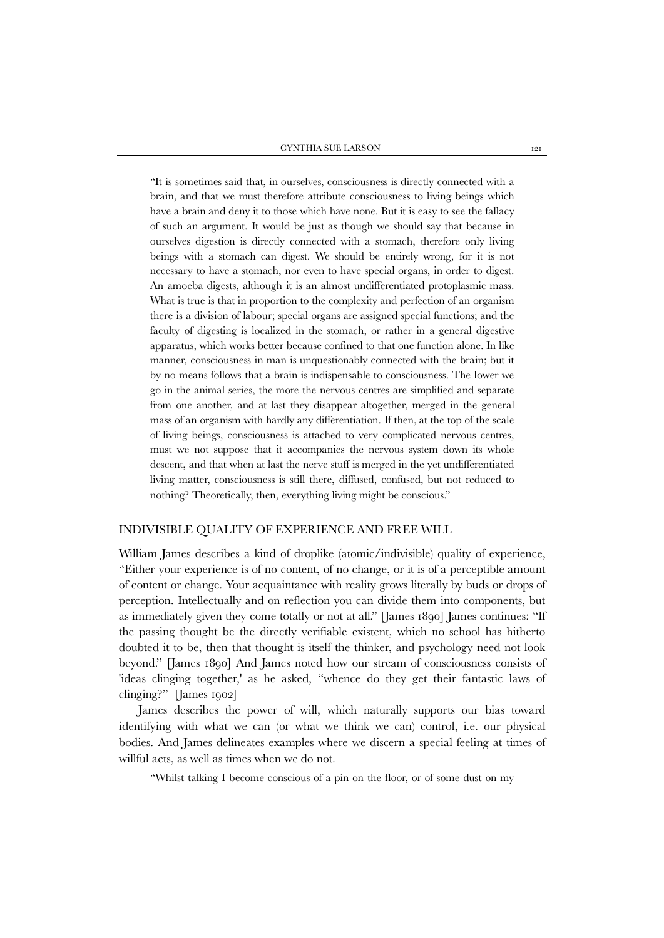"It is sometimes said that, in ourselves, consciousness is directly connected with a brain, and that we must therefore attribute consciousness to living beings which have a brain and deny it to those which have none. But it is easy to see the fallacy of such an argument. It would be just as though we should say that because in ourselves digestion is directly connected with a stomach, therefore only living beings with a stomach can digest. We should be entirely wrong, for it is not necessary to have a stomach, nor even to have special organs, in order to digest. An amoeba digests, although it is an almost undifferentiated protoplasmic mass. What is true is that in proportion to the complexity and perfection of an organism there is a division of labour; special organs are assigned special functions; and the faculty of digesting is localized in the stomach, or rather in a general digestive apparatus, which works better because confined to that one function alone. In like manner, consciousness in man is unquestionably connected with the brain; but it by no means follows that a brain is indispensable to consciousness. The lower we go in the animal series, the more the nervous centres are simplified and separate from one another, and at last they disappear altogether, merged in the general mass of an organism with hardly any differentiation. If then, at the top of the scale of living beings, consciousness is attached to very complicated nervous centres, must we not suppose that it accompanies the nervous system down its whole descent, and that when at last the nerve stuff is merged in the yet undifferentiated living matter, consciousness is still there, diffused, confused, but not reduced to nothing? Theoretically, then, everything living might be conscious."

#### INDIVISIBLE QUALITY OF EXPERIENCE AND FREE WILL

William James describes a kind of droplike (atomic/indivisible) quality of experience, "Either your experience is of no content, of no change, or it is of a perceptible amount of content or change. Your acquaintance with reality grows literally by buds or drops of perception. Intellectually and on reflection you can divide them into components, but as immediately given they come totally or not at all." [James 1890] James continues: "If the passing thought be the directly verifiable existent, which no school has hitherto doubted it to be, then that thought is itself the thinker, and psychology need not look beyond." [James 1890] And James noted how our stream of consciousness consists of 'ideas clinging together,' as he asked, "whence do they get their fantastic laws of clinging?" [James 1902]

James describes the power of will, which naturally supports our bias toward identifying with what we can (or what we think we can) control, i.e. our physical bodies. And James delineates examples where we discern a special feeling at times of willful acts, as well as times when we do not.

"Whilst talking I become conscious of a pin on the floor, or of some dust on my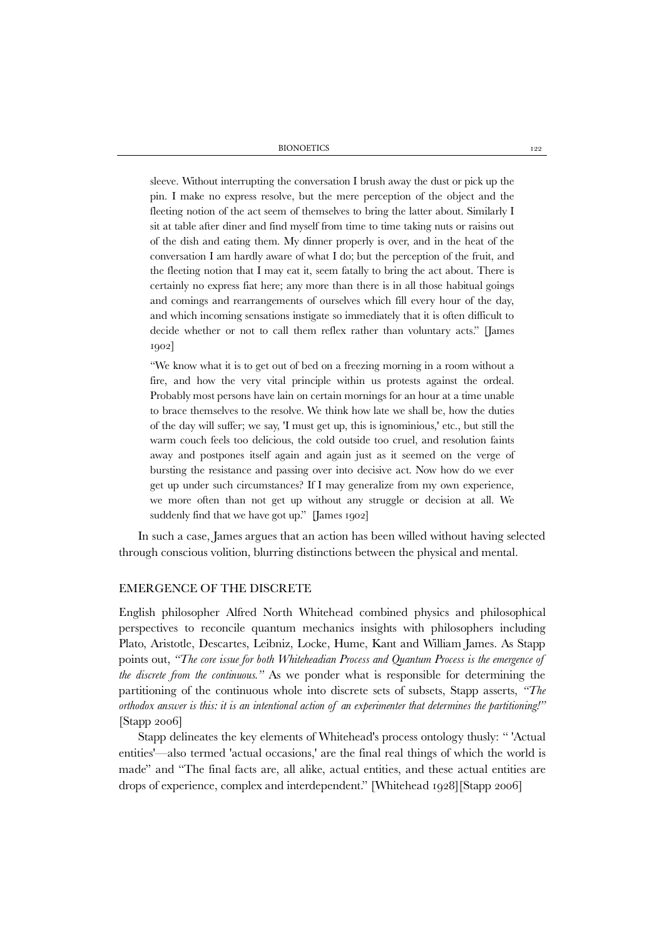BIONOETICS 122

sleeve. Without interrupting the conversation I brush away the dust or pick up the pin. I make no express resolve, but the mere perception of the object and the fleeting notion of the act seem of themselves to bring the latter about. Similarly I sit at table after diner and find myself from time to time taking nuts or raisins out of the dish and eating them. My dinner properly is over, and in the heat of the conversation I am hardly aware of what I do; but the perception of the fruit, and the fleeting notion that I may eat it, seem fatally to bring the act about. There is certainly no express fiat here; any more than there is in all those habitual goings and comings and rearrangements of ourselves which fill every hour of the day, and which incoming sensations instigate so immediately that it is often difficult to decide whether or not to call them reflex rather than voluntary acts." [James 1902]

"We know what it is to get out of bed on a freezing morning in a room without a fire, and how the very vital principle within us protests against the ordeal. Probably most persons have lain on certain mornings for an hour at a time unable to brace themselves to the resolve. We think how late we shall be, how the duties of the day will suffer; we say, 'I must get up, this is ignominious,' etc., but still the warm couch feels too delicious, the cold outside too cruel, and resolution faints away and postpones itself again and again just as it seemed on the verge of bursting the resistance and passing over into decisive act. Now how do we ever get up under such circumstances? If I may generalize from my own experience, we more often than not get up without any struggle or decision at all. We suddenly find that we have got up." [James 1902]

In such a case, James argues that an action has been willed without having selected through conscious volition, blurring distinctions between the physical and mental.

#### EMERGENCE OF THE DISCRETE

English philosopher Alfred North Whitehead combined physics and philosophical perspectives to reconcile quantum mechanics insights with philosophers including Plato, Aristotle, Descartes, Leibniz, Locke, Hume, Kant and William James. As Stapp points out, *"The core issue for both Whiteheadian Process and Quantum Process is the emergence of the discrete from the continuous."* As we ponder what is responsible for determining the partitioning of the continuous whole into discrete sets of subsets, Stapp asserts, *"The orthodox answer is this: it is an intentional action of an experimenter that determines the partitioning!"* [Stapp 2006]

Stapp delineates the key elements of Whitehead's process ontology thusly: " 'Actual entities'—also termed 'actual occasions,' are the final real things of which the world is made" and "The final facts are, all alike, actual entities, and these actual entities are drops of experience, complex and interdependent." [Whitehead 1928][Stapp 2006]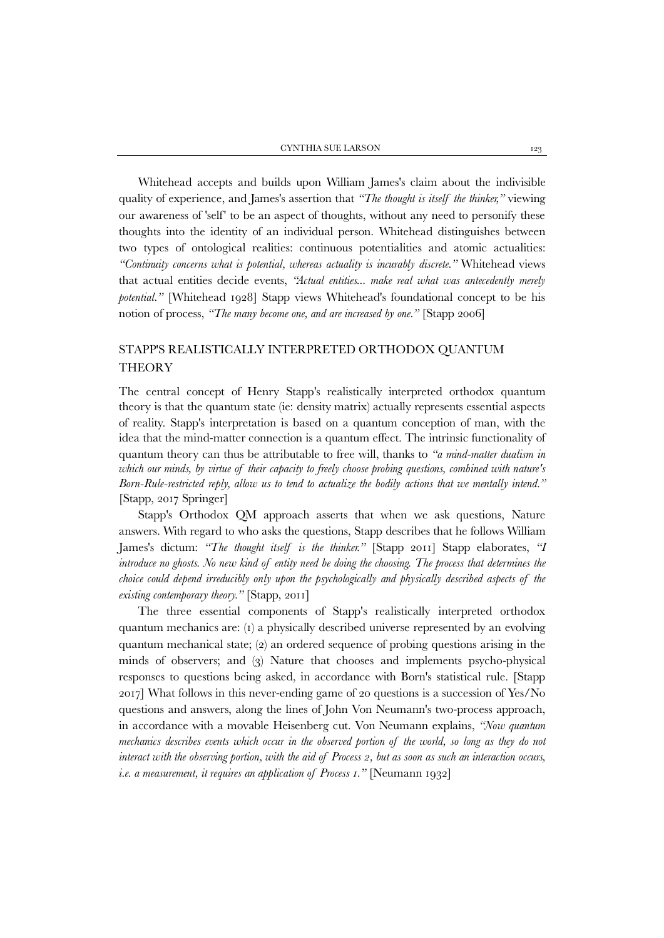Whitehead accepts and builds upon William James's claim about the indivisible quality of experience, and James's assertion that *"The thought is itself the thinker,"* viewing our awareness of 'self' to be an aspect of thoughts, without any need to personify these thoughts into the identity of an individual person. Whitehead distinguishes between two types of ontological realities: continuous potentialities and atomic actualities: *"Continuity concerns what is potential, whereas actuality is incurably discrete."* Whitehead views that actual entities decide events, *"Actual entities... make real what was antecedently merely potential."* [Whitehead 1928] Stapp views Whitehead's foundational concept to be his notion of process, *"The many become one, and are increased by one."* [Stapp 2006]

## STAPP'S REALISTICALLY INTERPRETED ORTHODOX QUANTUM **THEORY**

The central concept of Henry Stapp's realistically interpreted orthodox quantum theory is that the quantum state (ie: density matrix) actually represents essential aspects of reality. Stapp's interpretation is based on a quantum conception of man, with the idea that the mind-matter connection is a quantum effect. The intrinsic functionality of quantum theory can thus be attributable to free will, thanks to *"a mind-matter dualism in which our minds, by virtue of their capacity to freely choose probing questions, combined with nature's Born-Rule-restricted reply, allow us to tend to actualize the bodily actions that we mentally intend."* [Stapp, 2017 Springer]

Stapp's Orthodox QM approach asserts that when we ask questions, Nature answers. With regard to who asks the questions, Stapp describes that he follows William James's dictum: *"The thought itself is the thinker."* [Stapp 2011] Stapp elaborates, *"I introduce no ghosts. No new kind of entity need be doing the choosing. The process that determines the choice could depend irreducibly only upon the psychologically and physically described aspects of the existing contemporary theory."* [Stapp, 2011]

The three essential components of Stapp's realistically interpreted orthodox quantum mechanics are: (1) a physically described universe represented by an evolving quantum mechanical state;  $(2)$  an ordered sequence of probing questions arising in the minds of observers; and (3) Nature that chooses and implements psycho-physical responses to questions being asked, in accordance with Born's statistical rule. [Stapp 2017] What follows in this never-ending game of 20 questions is a succession of Yes/No questions and answers, along the lines of John Von Neumann's two-process approach, in accordance with a movable Heisenberg cut. Von Neumann explains, *"Now quantum mechanics describes events which occur in the observed portion of the world, so long as they do not interact with the observing portion, with the aid of Process 2, but as soon as such an interaction occurs, i.e. a measurement, it requires an application of Process 1.*" [Neumann 1932]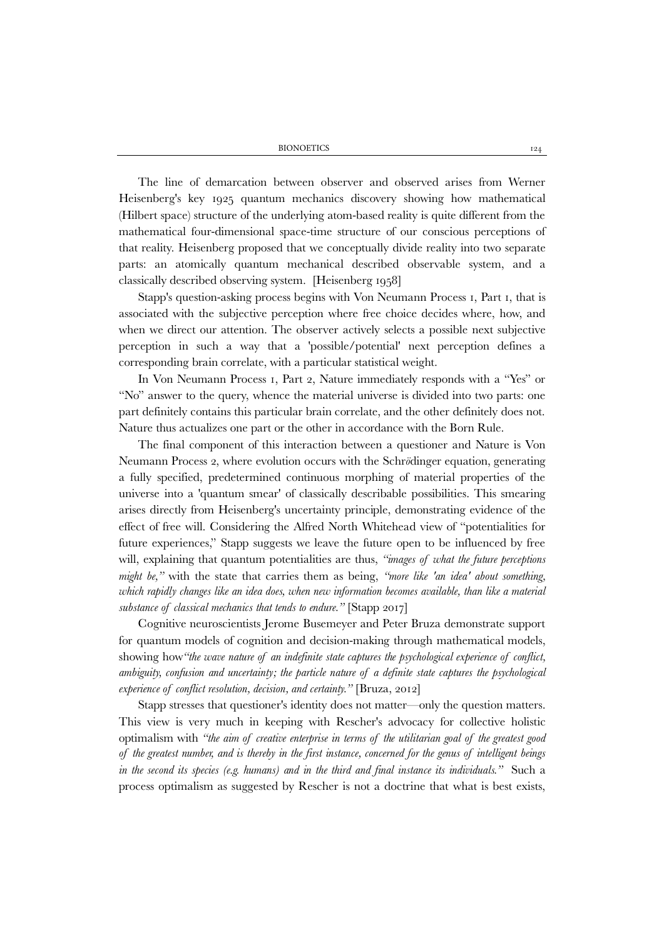BIONOETICS 124

The line of demarcation between observer and observed arises from Werner Heisenberg's key 1925 quantum mechanics discovery showing how mathematical (Hilbert space) structure of the underlying atom-based reality is quite different from the mathematical four-dimensional space-time structure of our conscious perceptions of that reality. Heisenberg proposed that we conceptually divide reality into two separate parts: an atomically quantum mechanical described observable system, and a classically described observing system. [Heisenberg 1958]

Stapp's question-asking process begins with Von Neumann Process 1, Part 1, that is associated with the subjective perception where free choice decides where, how, and when we direct our attention. The observer actively selects a possible next subjective perception in such a way that a 'possible/potential' next perception defines a corresponding brain correlate, with a particular statistical weight.

In Von Neumann Process 1, Part 2, Nature immediately responds with a "Yes" or "No" answer to the query, whence the material universe is divided into two parts: one part definitely contains this particular brain correlate, and the other definitely does not. Nature thus actualizes one part or the other in accordance with the Born Rule.

The final component of this interaction between a questioner and Nature is Von Neumann Process 2, where evolution occurs with the Schr*ö*dinger equation, generating a fully specified, predetermined continuous morphing of material properties of the universe into a 'quantum smear' of classically describable possibilities. This smearing arises directly from Heisenberg's uncertainty principle, demonstrating evidence of the effect of free will. Considering the Alfred North Whitehead view of "potentialities for future experiences," Stapp suggests we leave the future open to be influenced by free will, explaining that quantum potentialities are thus, *"images of what the future perceptions might be,"* with the state that carries them as being, *"more like 'an idea' about something, which rapidly changes like an idea does, when new information becomes available, than like a material substance of classical mechanics that tends to endure."* [Stapp 2017]

Cognitive neuroscientists Jerome Busemeyer and Peter Bruza demonstrate support for quantum models of cognition and decision-making through mathematical models, showing how*"the wave nature of an indefinite state captures the psychological experience of conflict, ambiguity, confusion and uncertainty; the particle nature of a definite state captures the psychological experience of conflict resolution, decision, and certainty."* [Bruza, 2012]

Stapp stresses that questioner's identity does not matter—only the question matters. This view is very much in keeping with Rescher's advocacy for collective holistic optimalism with *"the aim of creative enterprise in terms of the utilitarian goal of the greatest good of the greatest number, and is thereby in the first instance, concerned for the genus of intelligent beings in the second its species (e.g. humans) and in the third and final instance its individuals."* Such a process optimalism as suggested by Rescher is not a doctrine that what is best exists,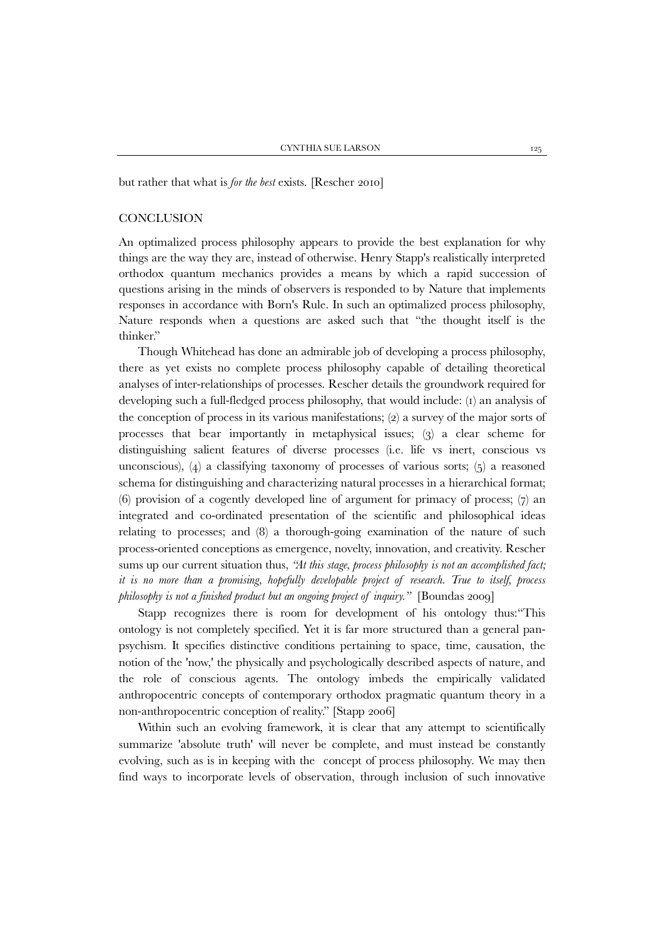but rather that what is *for the best* exists. [Rescher 2010]

#### **CONCLUSION**

An optimalized process philosophy appears to provide the best explanation for why things are the way they are, instead of otherwise. Henry Stapp's realistically interpreted orthodox quantum mechanics provides a means by which a rapid succession of questions arising in the minds of observers is responded to by Nature that implements responses in accordance with Born's Rule. In such an optimalized process philosophy, Nature responds when a questions are asked such that "the thought itself is the thinker."

Though Whitehead has done an admirable job of developing a process philosophy, there as yet exists no complete process philosophy capable of detailing theoretical analyses of inter-relationships of processes. Rescher details the groundwork required for developing such a full-fledged process philosophy, that would include: (1) an analysis of the conception of process in its various manifestations; (2) a survey of the major sorts of processes that bear importantly in metaphysical issues; (3) a clear scheme for distinguishing salient features of diverse processes (i.e. life vs inert, conscious vs unconscious), (4) a classifying taxonomy of processes of various sorts;  $(5)$  a reasoned schema for distinguishing and characterizing natural processes in a hierarchical format; (6) provision of a cogently developed line of argument for primacy of process;  $(7)$  an integrated and co-ordinated presentation of the scientific and philosophical ideas relating to processes; and (8) a thorough-going examination of the nature of such process-oriented conceptions as emergence, novelty, innovation, and creativity. Rescher sums up our current situation thus, *"At this stage, process philosophy is not an accomplished fact; it is no more than a promising, hopefully developable project of research. True to itself, process philosophy is not a finished product but an ongoing project of inquiry."* [Boundas 2009]

Stapp recognizes there is room for development of his ontology thus:"This ontology is not completely specified. Yet it is far more structured than a general panpsychism. It specifies distinctive conditions pertaining to space, time, causation, the notion of the 'now,' the physically and psychologically described aspects of nature, and the role of conscious agents. The ontology imbeds the empirically validated anthropocentric concepts of contemporary orthodox pragmatic quantum theory in a non-anthropocentric conception of reality." [Stapp 2006]

Within such an evolving framework, it is clear that any attempt to scientifically summarize 'absolute truth' will never be complete, and must instead be constantly evolving, such as is in keeping with the concept of process philosophy. We may then find ways to incorporate levels of observation, through inclusion of such innovative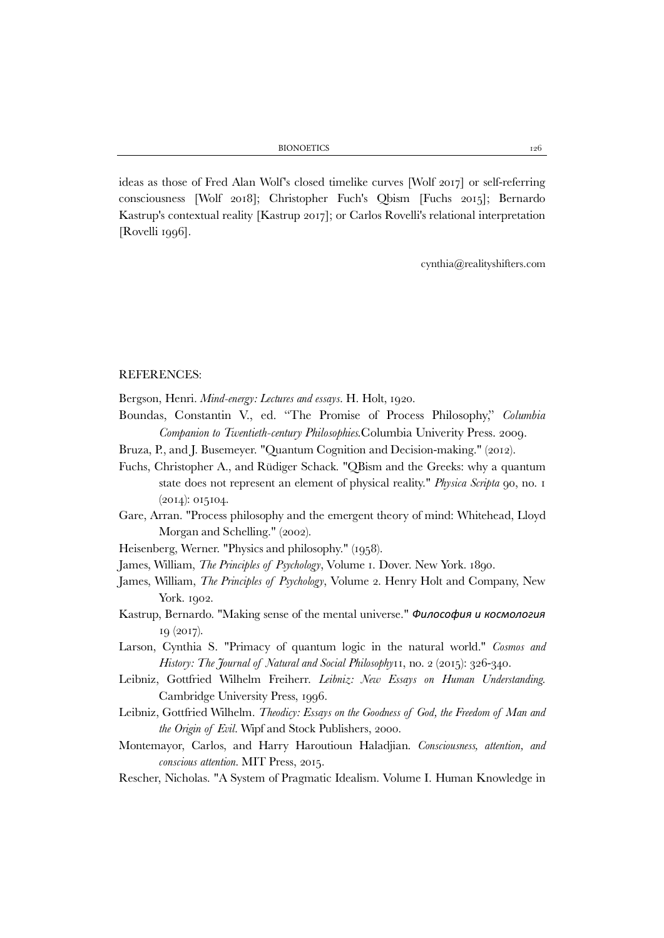ideas as those of Fred Alan Wolf's closed timelike curves [Wolf 2017] or self-referring consciousness [Wolf 2018]; Christopher Fuch's Qbism [Fuchs 2015]; Bernardo Kastrup's contextual reality [Kastrup 2017]; or Carlos Rovelli's relational interpretation [Rovelli 1996].

cynthia@realityshifters.com

#### REFERENCES:

Bergson, Henri. *Mind-energy: Lectures and essays*. H. Holt, 1920.

- Boundas, Constantin V., ed. "The Promise of Process Philosophy," *Columbia Companion to Twentieth-century Philosophies.*Columbia Univerity Press. 2009.
- Bruza, P., and J. Busemeyer. "Quantum Cognition and Decision-making." (2012).
- Fuchs, Christopher A., and Rüdiger Schack. "QBism and the Greeks: why a quantum state does not represent an element of physical reality." *Physica Scripta* 90, no. 1 (2014): 015104.
- Gare, Arran. "Process philosophy and the emergent theory of mind: Whitehead, Lloyd Morgan and Schelling." (2002).
- Heisenberg, Werner. "Physics and philosophy." (1958).
- James, William, *The Principles of Psychology*, Volume 1. Dover. New York. 1890.
- James, William, *The Principles of Psychology*, Volume 2. Henry Holt and Company, New York. 1902.
- Kastrup, Bernardo. "Making sense of the mental universe." *Философия и космология* 19 (2017).
- Larson, Cynthia S. "Primacy of quantum logic in the natural world." *Cosmos and History: The Journal of Natural and Social Philosophy*11, no. 2 (2015): 326-340.
- Leibniz, Gottfried Wilhelm Freiherr. *Leibniz: New Essays on Human Understanding*. Cambridge University Press, 1996.
- Leibniz, Gottfried Wilhelm. *Theodicy: Essays on the Goodness of God, the Freedom of Man and the Origin of Evil*. Wipf and Stock Publishers, 2000.
- Montemayor, Carlos, and Harry Haroutioun Haladjian. *Consciousness, attention, and conscious attention*. MIT Press, 2015.
- Rescher, Nicholas. "A System of Pragmatic Idealism. Volume I. Human Knowledge in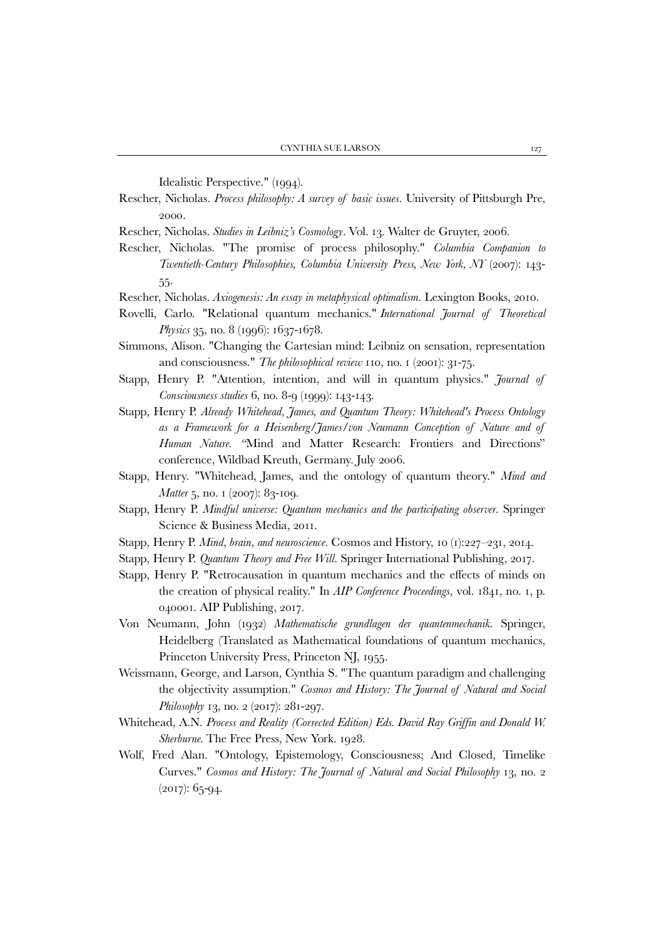Idealistic Perspective." (1994).

- Rescher, Nicholas. *Process philosophy: A survey of basic issues*. University of Pittsburgh Pre, 2000.
- Rescher, Nicholas. *Studies in Leibniz's Cosmology*. Vol. 13. Walter de Gruyter, 2006.
- Rescher, Nicholas. "The promise of process philosophy." *Columbia Companion to Twentieth-Century Philosophies, Columbia University Press, New York, NY* (2007): 143- 55.
- Rescher, Nicholas. *Axiogenesis: An essay in metaphysical optimalism*. Lexington Books, 2010.
- Rovelli, Carlo. "Relational quantum mechanics." *International Journal of Theoretical Physics* 35, no. 8 (1996): 1637-1678.
- Simmons, Alison. "Changing the Cartesian mind: Leibniz on sensation, representation and consciousness." *The philosophical review* 110, no. 1 (2001): 31-75.
- Stapp, Henry P. "Attention, intention, and will in quantum physics." *Journal of Consciousness studies* 6, no. 8-9 (1999): 143-143.
- Stapp, Henry P. *Already Whitehead, James, and Quantum Theory: Whitehead's Process Ontology as a Framework for a Heisenberg/James/von Neumann Conception of Nature and of Human Nature. "*Mind and Matter Research: Frontiers and Directions" conference, Wildbad Kreuth, Germany. July 2006.
- Stapp, Henry. "Whitehead, James, and the ontology of quantum theory." *Mind and Matter* 5, no. 1 (2007): 83-109.
- Stapp, Henry P. *Mindful universe: Quantum mechanics and the participating observer*. Springer Science & Business Media, 2011.
- Stapp, Henry P. *Mind, brain, and neuroscience*. Cosmos and History, 10 (1):227–231, 2014.
- Stapp, Henry P. *Quantum Theory and Free Will.* Springer International Publishing, 2017.
- Stapp, Henry P. "Retrocausation in quantum mechanics and the effects of minds on the creation of physical reality." In *AIP Conference Proceedings*, vol. 1841, no. 1, p. 040001. AIP Publishing, 2017.
- Von Neumann, John (1932) *Mathematische grundlagen der quantenmechanik*. Springer, Heidelberg (Translated as Mathematical foundations of quantum mechanics, Princeton University Press, Princeton NJ, 1955.
- Weissmann, George, and Larson, Cynthia S. "The quantum paradigm and challenging the objectivity assumption." *Cosmos and History: The Journal of Natural and Social Philosophy* 13, no. 2 (2017): 281-297.
- Whitehead, A.N. *Process and Reality (Corrected Edition) Eds. David Ray Griffin and Donald W. Sherburne.* The Free Press, New York. 1928.
- Wolf, Fred Alan. "Ontology, Epistemology, Consciousness; And Closed, Timelike Curves." *Cosmos and History: The Journal of Natural and Social Philosophy* 13, no. 2  $(2017): 65-94.$